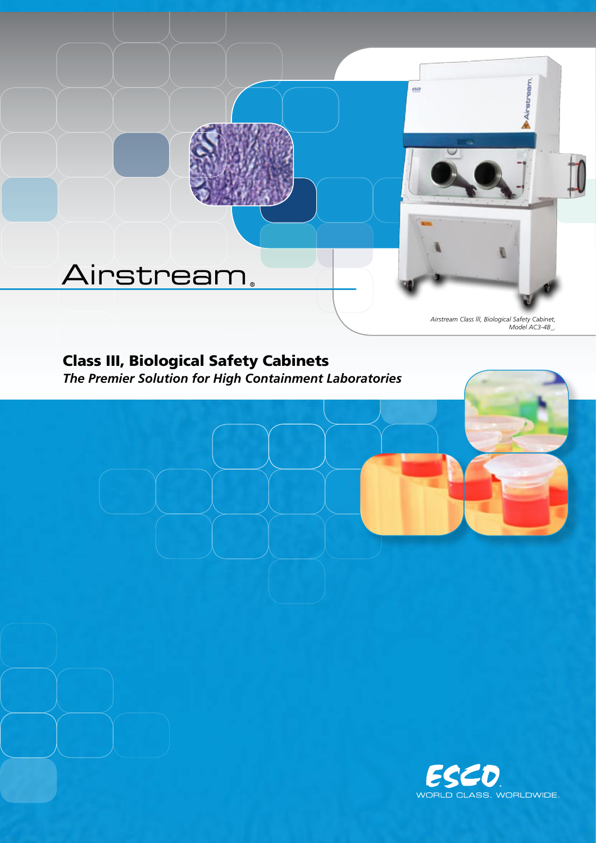# Airstream.

*Airstream Class lll, Biological Safety Cabinet, Model AC3-4B\_.*

Airstream

 $rac{1}{2}$ 

# Class III, Biological Safety Cabinets

*The Premier Solution for High Containment Laboratories*

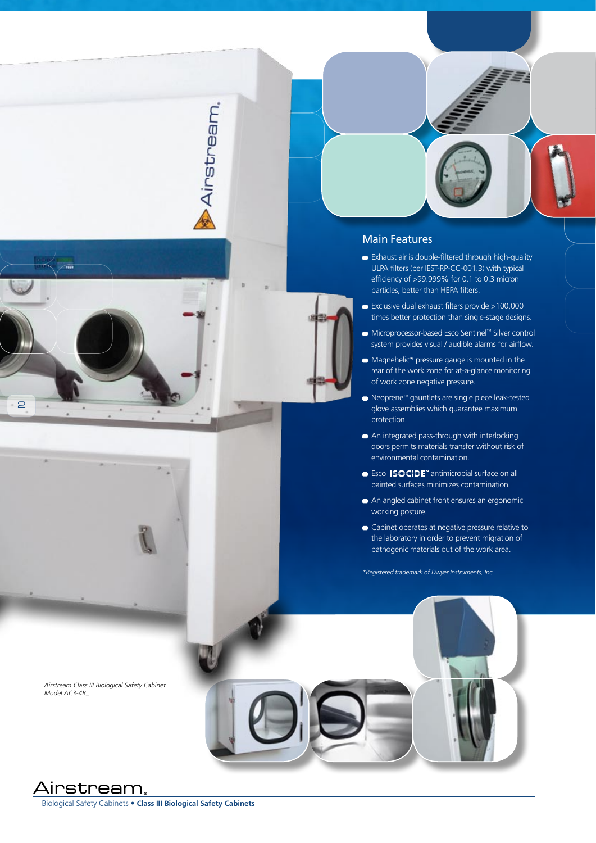





- Exhaust air is double-filtered through high-quality ULPA filters (per IEST-RP-CC-001.3) with typical efficiency of >99.999% for 0.1 to 0.3 micron particles, better than HEPA filters.
- Exclusive dual exhaust filters provide >100,000 times better protection than single-stage designs.
- Microprocessor-based Esco Sentinel™ Silver control system provides visual / audible alarms for airflow.
- $\blacksquare$  Magnehelic\* pressure gauge is mounted in the rear of the work zone for at-a-glance monitoring of work zone negative pressure.
- Neoprene™ gauntlets are single piece leak-tested glove assemblies which guarantee maximum protection.
- An integrated pass-through with interlocking doors permits materials transfer without risk of environmental contamination.
- Esco **ISOCIDE**<sup>™</sup> antimicrobial surface on all painted surfaces minimizes contamination.
- An angled cabinet front ensures an ergonomic working posture.
- Cabinet operates at negative pressure relative to the laboratory in order to prevent migration of pathogenic materials out of the work area.

*\*Registered trademark of Dwyer Instruments, Inc.*



*Airstream Class III Biological Safety Cabinet. Model AC3-4B\_.*

## Airstream.

Biological Safety Cabinets • **Class III Biological Safety Cabinets**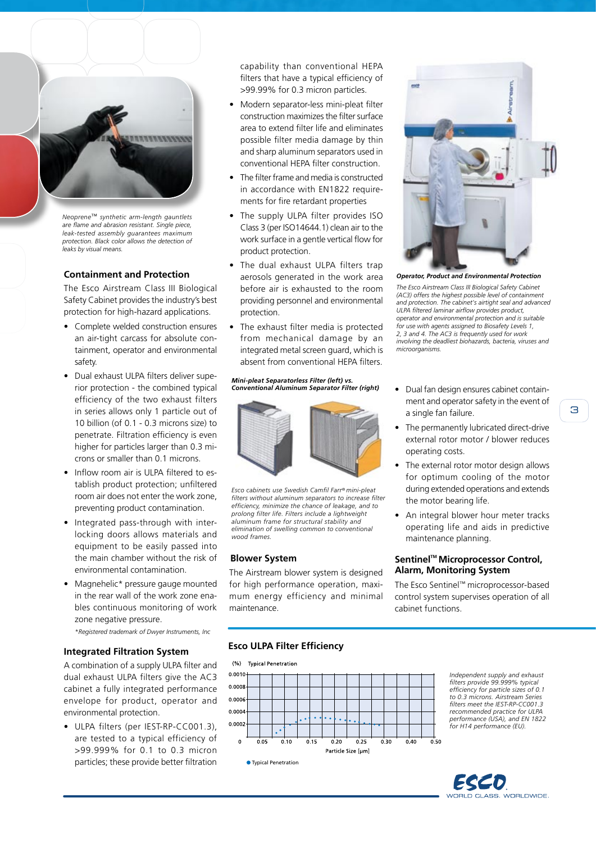

*Neoprene*™ *synthetic arm-length gauntlets are flame and abrasion resistant. Single piece, leak-tested assembly guarantees maximum protection. Black color allows the detection of leaks by visual means.*

#### **Containment and Protection**

The Esco Airstream Class III Biological Safety Cabinet provides the industry's best protection for high-hazard applications.

- Complete welded construction ensures an air-tight carcass for absolute containment, operator and environmental safety.
- Dual exhaust ULPA filters deliver superior protection - the combined typical efficiency of the two exhaust filters in series allows only 1 particle out of 10 billion (of 0.1 - 0.3 microns size) to penetrate. Filtration efficiency is even higher for particles larger than 0.3 microns or smaller than 0.1 microns.
- Inflow room air is ULPA filtered to establish product protection; unfiltered room air does not enter the work zone, preventing product contamination.
- Integrated pass-through with interlocking doors allows materials and equipment to be easily passed into the main chamber without the risk of environmental contamination.
- Magnehelic\* pressure gauge mounted in the rear wall of the work zone enables continuous monitoring of work zone negative pressure. *\*Registered trademark of Dwyer Instruments, Inc*

#### **Integrated Filtration System**

A combination of a supply ULPA filter and dual exhaust ULPA filters give the AC3 cabinet a fully integrated performance envelope for product, operator and environmental protection.

• ULPA filters (per IEST-RP-CC001.3), are tested to a typical efficiency of >99.999% for 0.1 to 0.3 micron particles; these provide better filtration capability than conventional HEPA filters that have a typical efficiency of >99.99% for 0.3 micron particles.

- Modern separator-less mini-pleat filter construction maximizes the filter surface area to extend filter life and eliminates possible filter media damage by thin and sharp aluminum separators used in conventional HEPA filter construction.
- The filter frame and media is constructed in accordance with EN1822 requirements for fire retardant properties
- The supply ULPA filter provides ISO Class 3 (per ISO14644.1) clean air to the work surface in a gentle vertical flow for product protection.
- The dual exhaust ULPA filters trap aerosols generated in the work area before air is exhausted to the room providing personnel and environmental protection.
- The exhaust filter media is protected from mechanical damage by an integrated metal screen guard, which is absent from conventional HEPA filters.

#### *Mini-pleat Separatorless Filter (left) vs. Conventional Aluminum Separator Filter (right)*



*Esco cabinets use Swedish Camfil Farr® mini-pleat filters without aluminum separators to increase filter efficiency, minimize the chance of leakage, and to prolong filter life. Filters include a lightweight aluminum frame for structural stability and elimination of swelling common to conventional wood frames.*

#### **Blower System**

The Airstream blower system is designed for high performance operation, maximum energy efficiency and minimal maintenance.



*Operator, Product and Environmental Protection The Esco Airstream Class III Biological Safety Cabinet (AC3) offers the highest possible level of containment and protection. The cabinet's airtight seal and advanced ULPA filtered laminar airflow provides product, operator and environmental protection and is suitable for use with agents assigned to Biosafety Levels 1, 2, 3 and 4. The AC3 is frequently used for work involving the deadliest biohazards, bacteria, viruses and microorganisms.*

- Dual fan design ensures cabinet containment and operator safety in the event of a single fan failure.
- The permanently lubricated direct-drive external rotor motor / blower reduces operating costs.
- The external rotor motor design allows for optimum cooling of the motor during extended operations and extends the motor bearing life.
- An integral blower hour meter tracks operating life and aids in predictive maintenance planning.

#### **Sentinel™ Microprocessor Control, Alarm, Monitoring System**

The Esco Sentinel™ microprocessor-based control system supervises operation of all cabinet functions.

#### **Esco ULPA Filter Efficiency**

 $(%)$ **Typical Penetration** 



*Independent supply and exhaust filters provide 99.999% typical efficiency for particle sizes of 0.1 to 0.3 microns. Airstream Series filters meet the IEST-RP-CC001.3 recommended practice for ULPA performance (USA), and EN 1822 for H14 performance (EU).*

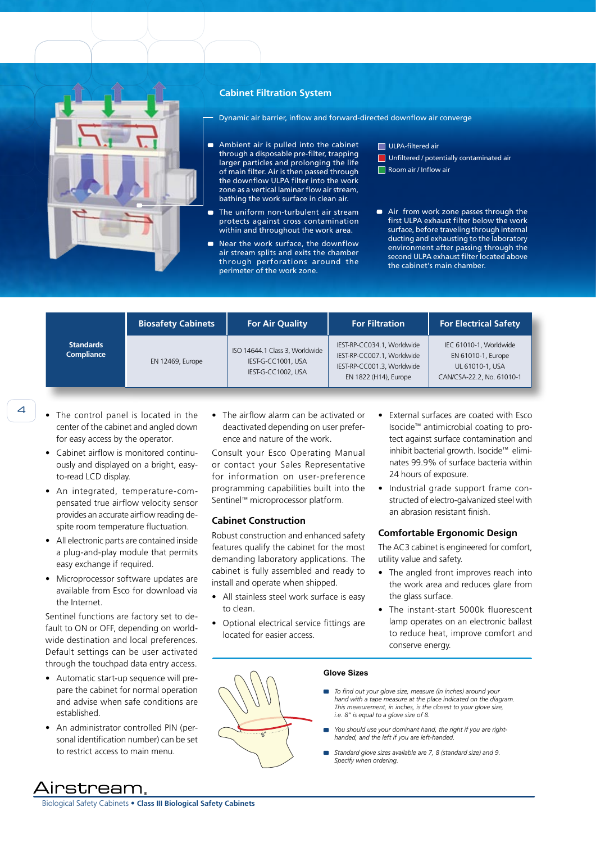

#### **Cabinet Filtration System**

Dynamic air barrier, inflow and forward-directed downflow air converge

- Ambient air is pulled into the cabinet  $\blacksquare$ through a disposable pre-filter, trapping larger particles and prolonging the life of main filter. Air is then passed through the downflow ULPA filter into the work zone as a vertical laminar flow air stream, bathing the work surface in clean air.
- $\blacksquare$ The uniform non-turbulent air stream protects against cross contamination within and throughout the work area.
- Near the work surface, the downflow air stream splits and exits the chamber through perforations around the perimeter of the work zone.

ULPA-filtered air

- **Unfiltered / potentially contaminated air** Room air / Inflow air
- Air from work zone passes through the  $\blacksquare$ first ULPA exhaust filter below the work surface, before traveling through internal ducting and exhausting to the laboratory environment after passing through the second ULPA exhaust filter located above the cabinet's main chamber.

| <b>Standards</b><br>Compliance | <b>Biosafety Cabinets</b> | <b>For Air Quality</b>                                                     | <b>For Filtration</b>                                                                                           | <b>For Electrical Safety</b>                                                                 |
|--------------------------------|---------------------------|----------------------------------------------------------------------------|-----------------------------------------------------------------------------------------------------------------|----------------------------------------------------------------------------------------------|
|                                | EN 12469, Europe          | ISO 14644.1 Class 3, Worldwide<br>IEST-G-CC1001, USA<br>IEST-G-CC1002, USA | IEST-RP-CC034.1, Worldwide<br>IEST-RP-CC007.1, Worldwide<br>IEST-RP-CC001.3, Worldwide<br>EN 1822 (H14), Europe | IEC 61010-1, Worldwide<br>EN 61010-1, Europe<br>UL 61010-1, USA<br>CAN/CSA-22.2, No. 61010-1 |

- 
- The control panel is located in the center of the cabinet and angled down for easy access by the operator.
- Cabinet airflow is monitored continuously and displayed on a bright, easyto-read LCD display.
- An integrated, temperature-compensated true airflow velocity sensor provides an accurate airflow reading despite room temperature fluctuation.
- All electronic parts are contained inside a plug-and-play module that permits easy exchange if required.
- Microprocessor software updates are available from Esco for download via the Internet.

Sentinel functions are factory set to default to ON or OFF, depending on worldwide destination and local preferences. Default settings can be user activated through the touchpad data entry access.

- Automatic start-up sequence will prepare the cabinet for normal operation and advise when safe conditions are established.
- An administrator controlled PIN (personal identification number) can be set to restrict access to main menu.

 $\overline{4}$   $\overline{ }$  • The control panel is located in the • The airflow alarm can be activated or • External surfaces are coated with Esco deactivated depending on user preference and nature of the work.

> Consult your Esco Operating Manual or contact your Sales Representative for information on user-preference programming capabilities built into the Sentinel™ microprocessor platform.

#### **Cabinet Construction**

**8"**

Robust construction and enhanced safety features qualify the cabinet for the most demanding laboratory applications. The cabinet is fully assembled and ready to install and operate when shipped.

- All stainless steel work surface is easy to clean.
- Optional electrical service fittings are located for easier access.
- Isocide™ antimicrobial coating to protect against surface contamination and inhibit bacterial growth. Isocide™ eliminates 99.9% of surface bacteria within 24 hours of exposure.
- Industrial grade support frame constructed of electro-galvanized steel with an abrasion resistant finish.

#### **Comfortable Ergonomic Design**

The AC3 cabinet is engineered for comfort, utility value and safety.

- The angled front improves reach into the work area and reduces glare from the glass surface.
- The instant-start 5000k fluorescent lamp operates on an electronic ballast to reduce heat, improve comfort and conserve energy.

#### **Glove Sizes**

- *To find out your glove size, measure (in inches) around your hand with a tape measure at the place indicated on the diagram. This measurement, in inches, is the closest to your glove size, i.e. 8" is equal to a glove size of 8.*
- *You should use your dominant hand, the right if you are righthanded, and the left if you are left-handed.*
- *Standard glove sizes available are 7, 8 (standard size) and 9. Specify when ordering.*

urstream.

Biological Safety Cabinets • **Class III Biological Safety Cabinets**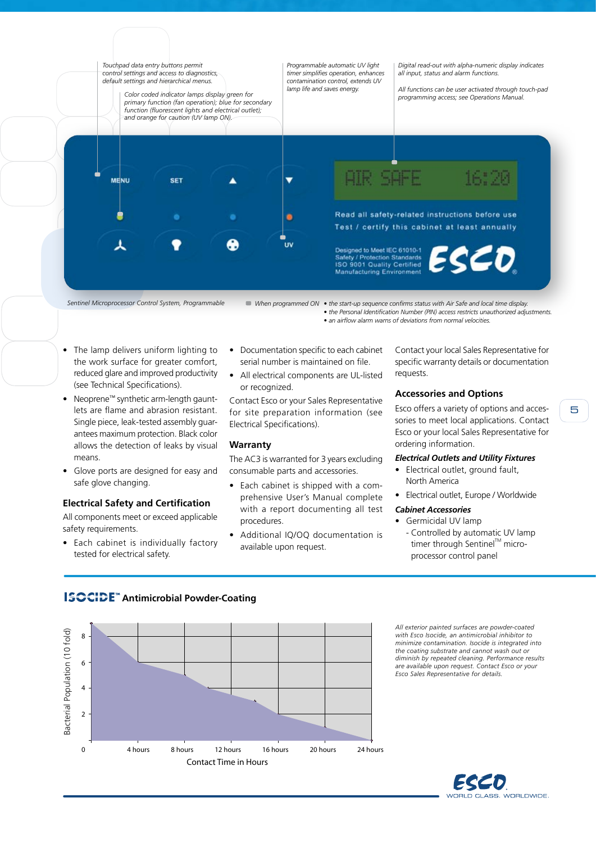

*Sentinel Microprocessor Control System, Programmable When programmed ON • the start-up sequence confirms status with Air Safe and local time display.*

- *the Personal Identification Number (PIN) access restricts unauthorized adjustments.*
- *an airflow alarm warns of deviations from normal velocities.*

- The lamp delivers uniform lighting to the work surface for greater comfort, reduced glare and improved productivity (see Technical Specifications).
- Neoprene™ synthetic arm-length gauntlets are flame and abrasion resistant. Single piece, leak-tested assembly guarantees maximum protection. Black color allows the detection of leaks by visual means.
- Glove ports are designed for easy and safe glove changing.

#### **Electrical Safety and Certification**

All components meet or exceed applicable safety requirements.

• Each cabinet is individually factory tested for electrical safety.

- Documentation specific to each cabinet serial number is maintained on file.
- All electrical components are UL-listed or recognized.

Contact Esco or your Sales Representative for site preparation information (see Electrical Specifications).

#### **Warranty**

The AC3 is warranted for 3 years excluding consumable parts and accessories.

- Each cabinet is shipped with a comprehensive User's Manual complete with a report documenting all test procedures.
- Additional IQ/OQ documentation is available upon request.

Contact your local Sales Representative for specific warranty details or documentation requests.

#### **Accessories and Options**

Esco offers a variety of options and accessories to meet local applications. Contact Esco or your local Sales Representative for ordering information.

#### *Electrical Outlets and Utility Fixtures*

- Electrical outlet, ground fault, North America
- Electrical outlet, Europe / Worldwide

#### *Cabinet Accessories*

- Germicidal UV lamp
	- Controlled by automatic UV lamp timer through Sentinel™ microprocessor control panel

### **ISOCIDE**<sup>"</sup> Antimicrobial Powder-Coating



*All exterior painted surfaces are powder-coated with Esco Isocide, an antimicrobial inhibitor to minimize contamination. Isocide is integrated into the coating substrate and cannot wash out or diminish by repeated cleaning. Performance results are available upon request. Contact Esco or your Esco Sales Representative for details.*

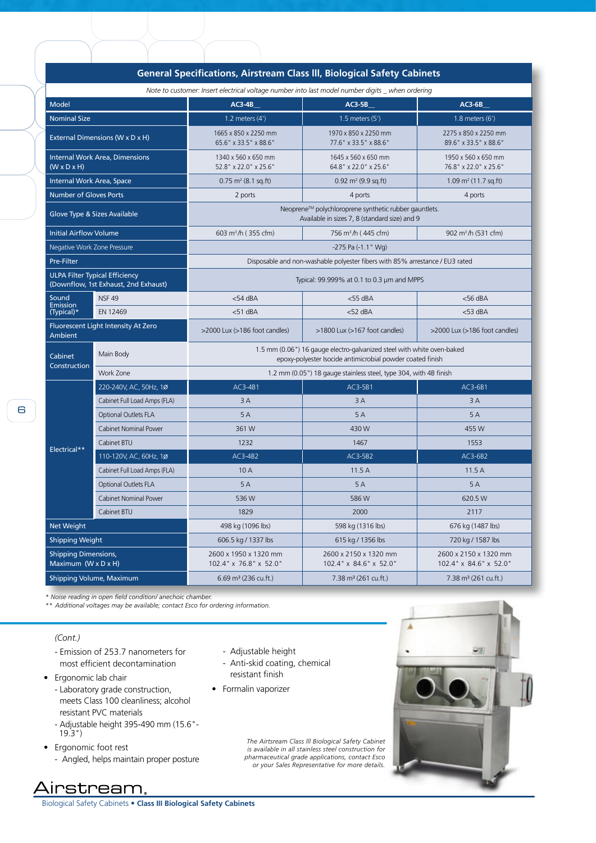| deneral Specifications, Alistream Class III, Biological Safety Cabinets                          |                              |                                                                                                                                      |                                                 |                                                 |  |  |  |
|--------------------------------------------------------------------------------------------------|------------------------------|--------------------------------------------------------------------------------------------------------------------------------------|-------------------------------------------------|-------------------------------------------------|--|--|--|
| Note to customer: Insert electrical voltage number into last model number digits _ when ordering |                              |                                                                                                                                      |                                                 |                                                 |  |  |  |
| <b>Model</b>                                                                                     |                              | $AC3-4B$                                                                                                                             | $AC3-5B$                                        | $AC3-6B$                                        |  |  |  |
| <b>Nominal Size</b>                                                                              |                              | 1.2 meters $(4')$                                                                                                                    | 1.5 meters (5')                                 | 1.8 meters (6')                                 |  |  |  |
| External Dimensions (W x D x H)                                                                  |                              | 1665 x 850 x 2250 mm<br>65.6" x 33.5" x 88.6"                                                                                        | 1970 x 850 x 2250 mm<br>77.6" x 33.5" x 88.6"   | 2275 x 850 x 2250 mm<br>89.6" x 33.5" x 88.6"   |  |  |  |
| Internal Work Area, Dimensions<br>$(W \times D \times H)$                                        |                              | 1340 x 560 x 650 mm<br>52.8" x 22.0" x 25.6"                                                                                         | 1645 x 560 x 650 mm<br>64.8" x 22.0" x 25.6"    | 1950 x 560 x 650 mm<br>76.8" x 22.0" x 25.6"    |  |  |  |
| Internal Work Area, Space                                                                        |                              | $0.75$ m <sup>2</sup> (8.1 sq.ft)                                                                                                    | $0.92 \text{ m}^2 (9.9 \text{ sq.ft})$          | $1.09$ m <sup>2</sup> (11.7 sq.ft)              |  |  |  |
| <b>Number of Gloves Ports</b>                                                                    |                              | 2 ports                                                                                                                              | 4 ports                                         | 4 ports                                         |  |  |  |
| Glove Type & Sizes Available                                                                     |                              | Neoprene™ polychloroprene synthetic rubber gauntlets.<br>Available in sizes 7, 8 (standard size) and 9                               |                                                 |                                                 |  |  |  |
| <b>Initial Airflow Volume</b>                                                                    |                              | 603 m <sup>3</sup> /h (355 cfm)                                                                                                      | 756 m <sup>3</sup> /h (445 cfm)                 | 902 m <sup>3</sup> /h (531 cfm)                 |  |  |  |
| Negative Work Zone Pressure                                                                      |                              | -275 Pa (-1.1" Wg)                                                                                                                   |                                                 |                                                 |  |  |  |
| Pre-Filter                                                                                       |                              | Disposable and non-washable polyester fibers with 85% arrestance / EU3 rated                                                         |                                                 |                                                 |  |  |  |
| <b>ULPA Filter Typical Efficiency</b><br>(Downflow, 1st Exhaust, 2nd Exhaust)                    |                              | Typical: 99.999% at 0.1 to 0.3 µm and MPPS                                                                                           |                                                 |                                                 |  |  |  |
| Sound<br>Emission<br>(Typical)*                                                                  | <b>NSF 49</b>                | $<$ 54 dBA                                                                                                                           | $<$ 55 dBA                                      | $<$ 56 dBA                                      |  |  |  |
|                                                                                                  | EN 12469                     | $<$ 51 dBA                                                                                                                           | $<$ 52 dBA                                      | $<$ 53 dBA                                      |  |  |  |
| Fluorescent Light Intensity At Zero<br>Ambient                                                   |                              | >2000 Lux (>186 foot candles)                                                                                                        | >1800 Lux (>167 foot candles)                   | >2000 Lux (>186 foot candles)                   |  |  |  |
| Cabinet                                                                                          | Main Body                    | 1.5 mm (0.06") 16 gauge electro-galvanized steel with white oven-baked<br>epoxy-polyester Isocide antimicrobial powder coated finish |                                                 |                                                 |  |  |  |
| Construction                                                                                     | Work Zone                    | 1.2 mm (0.05") 18 gauge stainless steel, type 304, with 4B finish                                                                    |                                                 |                                                 |  |  |  |
| Electrical**                                                                                     | 220-240V, AC, 50Hz, 1Ø       | AC3-4B1                                                                                                                              | AC3-5B1                                         | AC3-6B1                                         |  |  |  |
|                                                                                                  | Cabinet Full Load Amps (FLA) | 3A                                                                                                                                   | 3A                                              | 3A                                              |  |  |  |
|                                                                                                  | Optional Outlets FLA         | 5A                                                                                                                                   | 5A                                              | 5A                                              |  |  |  |
|                                                                                                  | <b>Cabinet Nominal Power</b> | 361W                                                                                                                                 | 430W                                            | 455 W                                           |  |  |  |
|                                                                                                  | Cabinet BTU                  | 1232                                                                                                                                 | 1467                                            | 1553                                            |  |  |  |
|                                                                                                  | 110-120V, AC, 60Hz, 1Ø       | $AC3-4B2$                                                                                                                            | AC3-5B2                                         | AC3-6B2                                         |  |  |  |
|                                                                                                  | Cabinet Full Load Amps (FLA) | 10 A                                                                                                                                 | 11.5A                                           | 11.5A                                           |  |  |  |
|                                                                                                  | <b>Optional Outlets FLA</b>  | 5A                                                                                                                                   | 5A                                              | 5A                                              |  |  |  |
|                                                                                                  | <b>Cabinet Nominal Power</b> | 536W                                                                                                                                 | 586W                                            | 620.5 W                                         |  |  |  |
|                                                                                                  | Cabinet BTU                  | 1829                                                                                                                                 | 2000                                            | 2117                                            |  |  |  |
| Net Weight                                                                                       |                              | 498 kg (1096 lbs)                                                                                                                    | 598 kg (1316 lbs)                               | 676 kg (1487 lbs)                               |  |  |  |
| <b>Shipping Weight</b>                                                                           |                              | 606.5 kg / 1337 lbs                                                                                                                  | 615 kg / 1356 lbs                               | 720 kg / 1587 lbs                               |  |  |  |
| <b>Shipping Dimensions,</b><br>Maximum (W x D x H)                                               |                              | 2600 x 1950 x 1320 mm<br>102.4" x 76.8" x 52.0"                                                                                      | 2600 x 2150 x 1320 mm<br>102.4" x 84.6" x 52.0" | 2600 x 2150 x 1320 mm<br>102.4" x 84.6" x 52.0" |  |  |  |
| Shipping Volume, Maximum                                                                         |                              | $6.69$ m <sup>3</sup> (236 cu.ft.)                                                                                                   | $7.38 \text{ m}^3$ (261 cu.ft.)                 | $7.38 \text{ m}^3$ (261 cu.ft.)                 |  |  |  |

#### **General Specifications, Airstream Class lll, Biological Safety Cabinets**

*\* Noise reading in open field condition/ anechoic chamber.* 

*\*\* Additional voltages may be available; contact Esco for ordering information.*

#### *(Cont.)*

- Emission of 253.7 nanometers for most efficient decontamination
- Ergonomic lab chair
	- Laboratory grade construction, meets Class 100 cleanliness; alcohol resistant PVC materials
	- Adjustable height 395-490 mm (15.6"- 19.3")
- Ergonomic foot rest

Airstream.

- Angled, helps maintain proper posture

- Adjustable height
- Anti-skid coating, chemical resistant finish
- Formalin vaporizer

*The Airtsream Class lll Biological Safety Cabinet is available in all stainless steel construction for pharmaceutical grade applications, contact Esco or your Sales Representative for more details.*



Biological Safety Cabinets • **Class III Biological Safety Cabinets**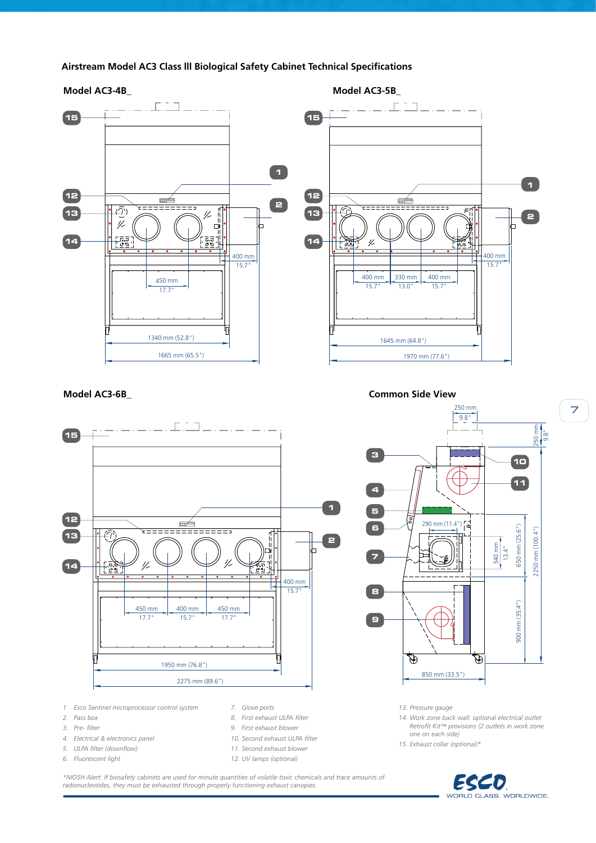



- *3. Pre- filter*
- *4. Electrical & electronics panel*
- *5. ULPA filter (downflow)*
- *6. Fluorescent light*
- 
- *9. First exhaust blower*
- *10. Second exhaust ULPA filter*
- *11. Second exhaust blower*
- *12. UV lamps (optional)*

*\*NIOSH Alert: If biosafety cabinets are used for minute quantities of volatile toxic chemicals and trace amounts of radionucleotides, they must be exhausted through properly functioning exhaust canopies.*

- *Retrofit Kit™ provisions (2 outlets in work zone*
- *one on each side) 15. Exhaust collar (optional)\**



7